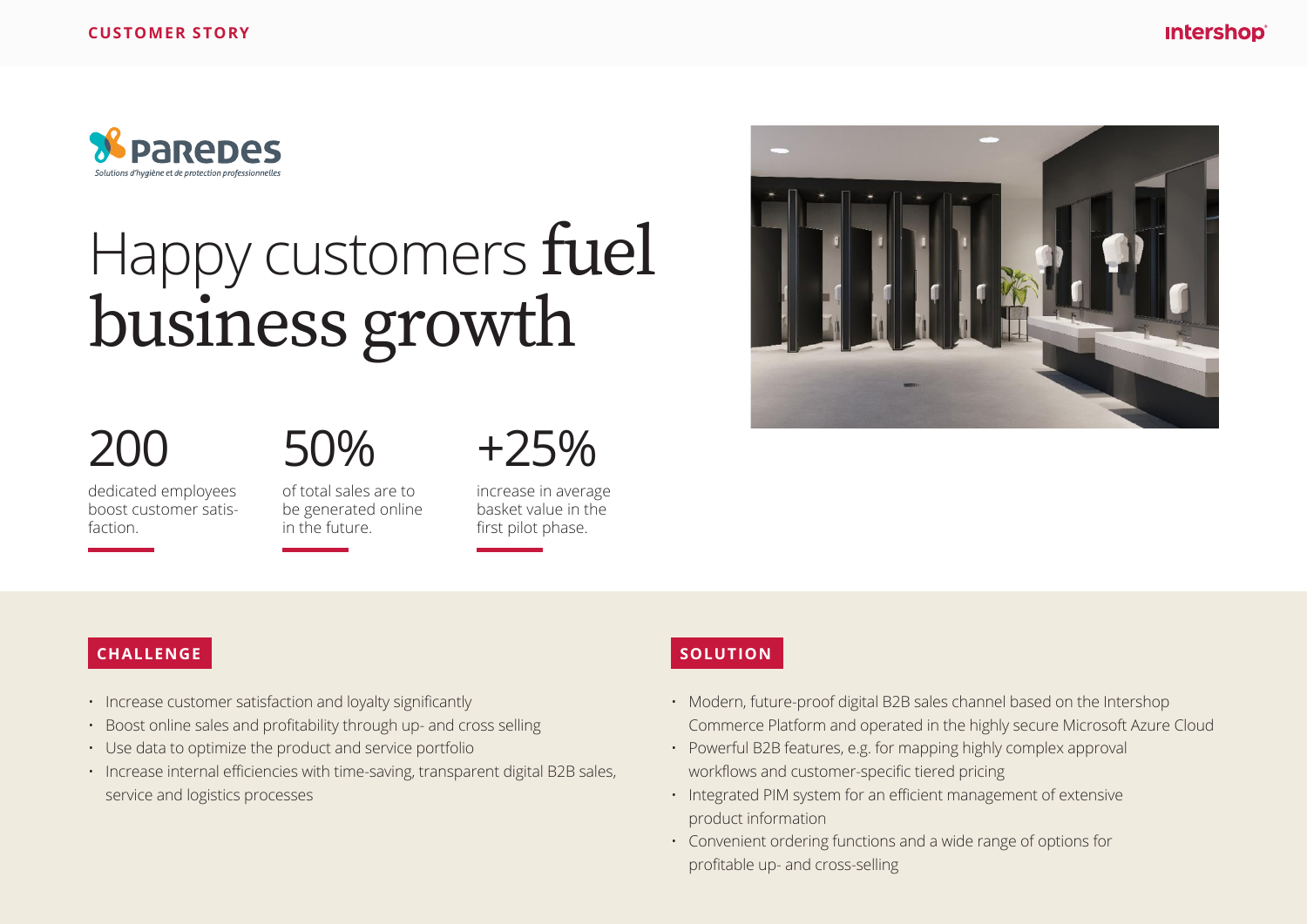

# Happy customers fuel business growth

# 200

50%

dedicated employees boost customer satisfaction.

of total sales are to be generated online in the future.

+25%

increase in average basket value in the first pilot phase.

#### **CHALLENGE**

- Increase customer satisfaction and loyalty significantly
- Boost online sales and profitability through up- and cross selling
- Use data to optimize the product and service portfolio
- Increase internal efficiencies with time-saving, transparent digital B2B sales, service and logistics processes

## **SOLUTION**

- Modern, future-proof digital B2B sales channel based on the Intershop Commerce Platform and operated in the highly secure Microsoft Azure Cloud
- Powerful B2B features, e.g. for mapping highly complex approval workflows and customer-specific tiered pricing
- Integrated PIM system for an efficient management of extensive product information
- Convenient ordering functions and a wide range of options for profitable up- and cross-selling

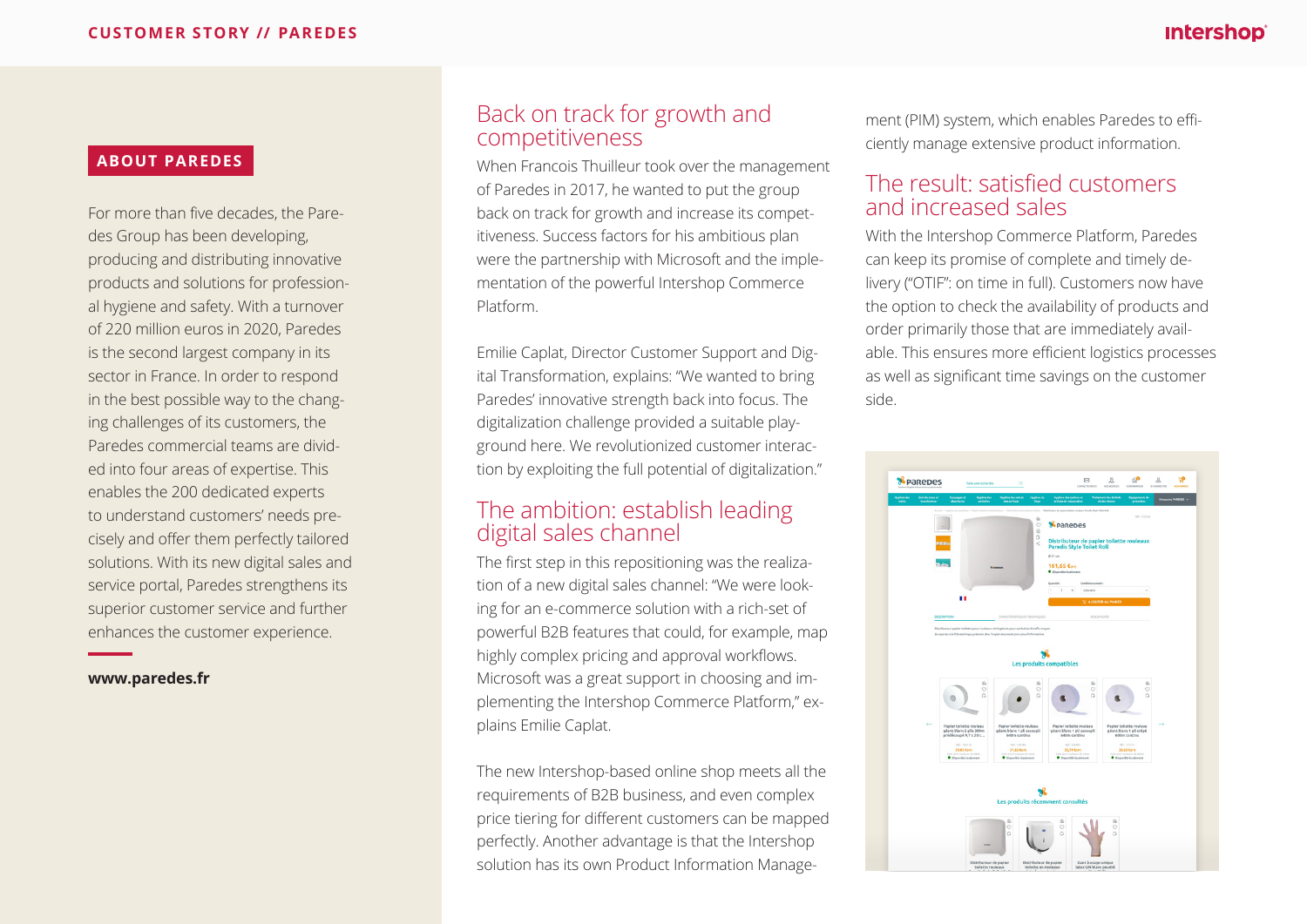#### **ABOUT PAREDES**

For more than five decades, the Paredes Group has been developing, producing and distributing innovative products and solutions for professional hygiene and safety. With a turnover of 220 million euros in 2020, Paredes is the second largest company in its sector in France. In order to respond in the best possible way to the changing challenges of its customers, the Paredes commercial teams are divided into four areas of expertise. This enables the 200 dedicated experts to understand customers' needs precisely and offer them perfectly tailored solutions. With its new digital sales and service portal, Paredes strengthens its superior customer service and further enhances the customer experience.

**www.paredes.fr**

### Back on track for growth and competitiveness

When Francois Thuilleur took over the management of Paredes in 2017, he wanted to put the group back on track for growth and increase its competitiveness. Success factors for his ambitious plan were the partnership with Microsoft and the implementation of the powerful Intershop Commerce Platform.

Emilie Caplat, Director Customer Support and Digital Transformation, explains: "We wanted to bring Paredes' innovative strength back into focus. The digitalization challenge provided a suitable playground here. We revolutionized customer interaction by exploiting the full potential of digitalization."

### The ambition: establish leading digital sales channel

The first step in this repositioning was the realization of a new digital sales channel: "We were looking for an e-commerce solution with a rich-set of powerful B2B features that could, for example, map highly complex pricing and approval workflows. Microsoft was a great support in choosing and implementing the Intershop Commerce Platform," explains Emilie Caplat.

The new Intershop-based online shop meets all the requirements of B2B business, and even complex price tiering for different customers can be mapped perfectly. Another advantage is that the Intershop solution has its own Product Information Manage-

ment (PIM) system, which enables Paredes to efficiently manage extensive product information.

#### The result: satisfied customers and increased sales

With the Intershop Commerce Platform, Paredes can keep its promise of complete and timely delivery ("OTIF": on time in full). Customers now have the option to check the availability of products and order primarily those that are immediately available. This ensures more efficient logistics processes as well as significant time savings on the customer side.

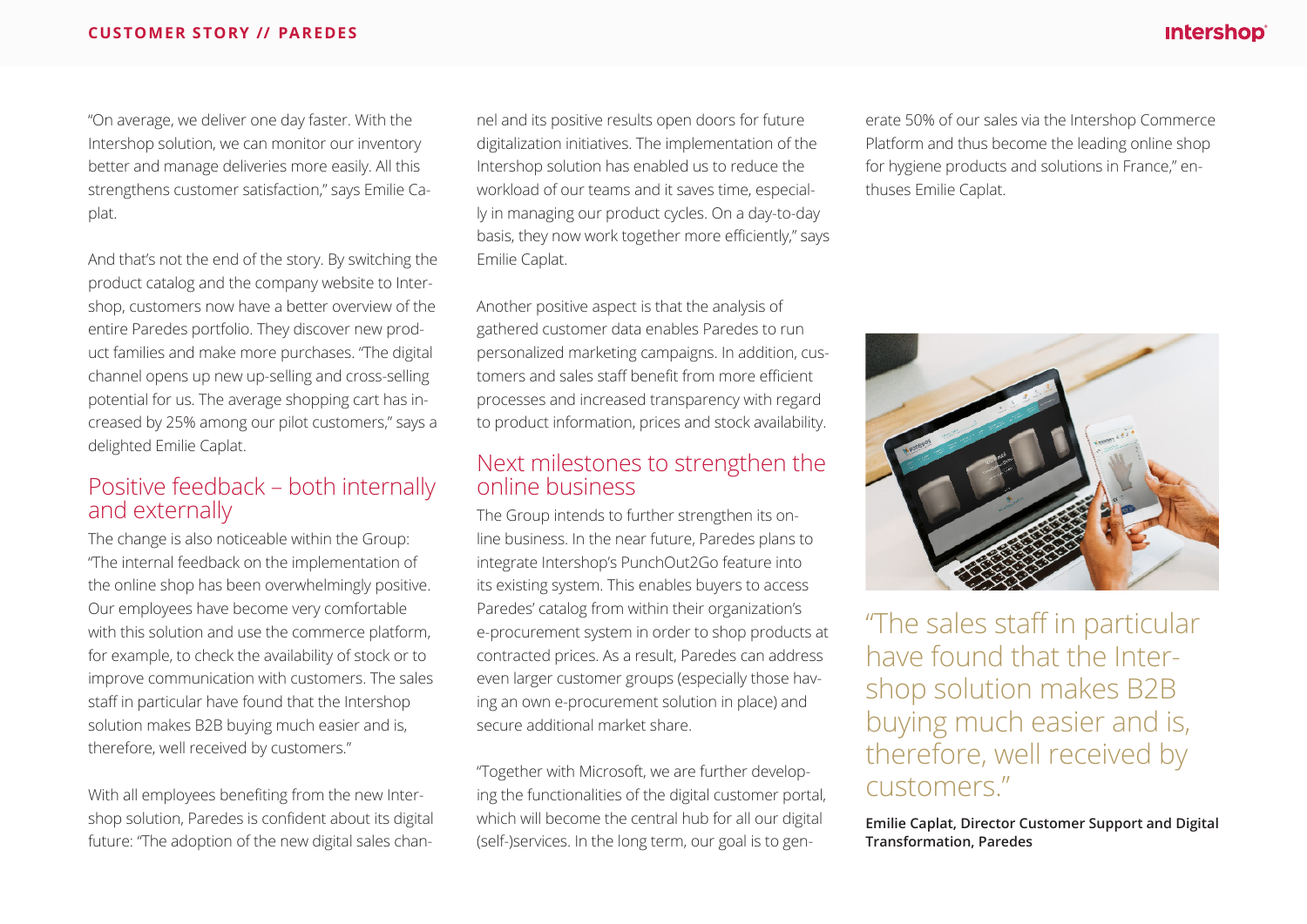#### **intershop**®

#### **CUSTOMER STORY // PAREDES**

"On average, we deliver one day faster. With the Intershop solution, we can monitor our inventory better and manage deliveries more easily. All this strengthens customer satisfaction," says Emilie Caplat.

And that's not the end of the story. By switching the product catalog and the company website to Intershop, customers now have a better overview of the entire Paredes portfolio. They discover new product families and make more purchases. "The digital channel opens up new up-selling and cross-selling potential for us. The average shopping cart has increased by 25% among our pilot customers," says a delighted Emilie Caplat.

#### Positive feedback – both internally and externally

The change is also noticeable within the Group: "The internal feedback on the implementation of the online shop has been overwhelmingly positive. Our employees have become very comfortable with this solution and use the commerce platform, for example, to check the availability of stock or to improve communication with customers. The sales staff in particular have found that the Intershop solution makes B2B buying much easier and is, therefore, well received by customers."

With all employees benefiting from the new Intershop solution, Paredes is confident about its digital future: "The adoption of the new digital sales channel and its positive results open doors for future digitalization initiatives. The implementation of the Intershop solution has enabled us to reduce the workload of our teams and it saves time, especially in managing our product cycles. On a day-to-day basis, they now work together more efficiently," says Emilie Caplat.

Another positive aspect is that the analysis of gathered customer data enables Paredes to run personalized marketing campaigns. In addition, customers and sales staff benefit from more efficient processes and increased transparency with regard to product information, prices and stock availability.

#### Next milestones to strengthen the online business

The Group intends to further strengthen its online business. In the near future, Paredes plans to integrate Intershop's PunchOut2Go feature into its existing system. This enables buyers to access Paredes' catalog from within their organization's e-procurement system in order to shop products at contracted prices. As a result, Paredes can address even larger customer groups (especially those having an own e-procurement solution in place) and secure additional market share.

"Together with Microsoft, we are further developing the functionalities of the digital customer portal, which will become the central hub for all our digital (self-)services. In the long term, our goal is to gen-

erate 50% of our sales via the Intershop Commerce Platform and thus become the leading online shop for hygiene products and solutions in France," enthuses Emilie Caplat.



"The sales staff in particular have found that the Intershop solution makes B2B buying much easier and is, therefore, well received by customers."

**Emilie Caplat, Director Customer Support and Digital Transformation, Paredes**